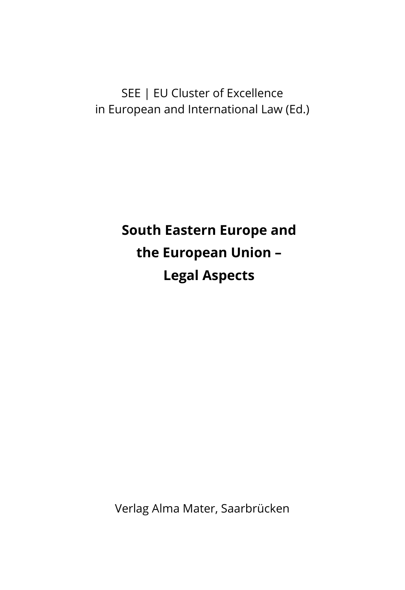SEE | EU Cluster of Excellence in European and International Law (Ed.)

> **South Eastern Europe and the European Union – Legal Aspects**

Verlag Alma Mater, Saarbrücken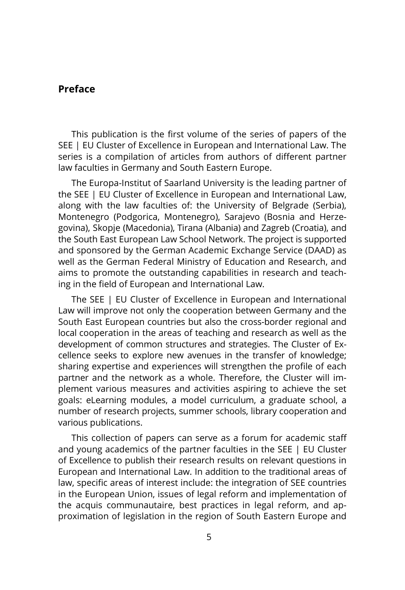## **Preface**

This publication is the first volume of the series of papers of the SEE | EU Cluster of Excellence in European and International Law. The series is a compilation of articles from authors of different partner law faculties in Germany and South Eastern Europe.

The Europa-Institut of Saarland University is the leading partner of the SEE | EU Cluster of Excellence in European and International Law, along with the law faculties of: the University of Belgrade (Serbia), Montenegro (Podgorica, Montenegro), Sarajevo (Bosnia and Herzegovina), Skopje (Macedonia), Tirana (Albania) and Zagreb (Croatia), and the South East European Law School Network. The project is supported and sponsored by the German Academic Exchange Service (DAAD) as well as the German Federal Ministry of Education and Research, and aims to promote the outstanding capabilities in research and teaching in the field of European and International Law.

The SEE | EU Cluster of Excellence in European and International Law will improve not only the cooperation between Germany and the South East European countries but also the cross-border regional and local cooperation in the areas of teaching and research as well as the development of common structures and strategies. The Cluster of Excellence seeks to explore new avenues in the transfer of knowledge; sharing expertise and experiences will strengthen the profile of each partner and the network as a whole. Therefore, the Cluster will implement various measures and activities aspiring to achieve the set goals: eLearning modules, a model curriculum, a graduate school, a number of research projects, summer schools, library cooperation and various publications.

This collection of papers can serve as a forum for academic staff and young academics of the partner faculties in the SEE | EU Cluster of Excellence to publish their research results on relevant questions in European and International Law. In addition to the traditional areas of law, specific areas of interest include: the integration of SEE countries in the European Union, issues of legal reform and implementation of the acquis communautaire, best practices in legal reform, and approximation of legislation in the region of South Eastern Europe and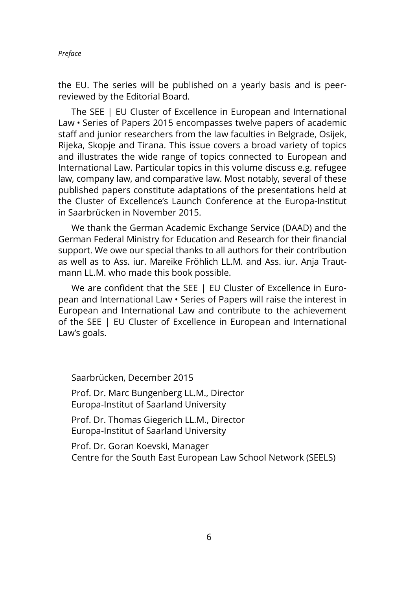the EU. The series will be published on a yearly basis and is peerreviewed by the Editorial Board.

The SEE | EU Cluster of Excellence in European and International Law • Series of Papers 2015 encompasses twelve papers of academic staff and junior researchers from the law faculties in Belgrade, Osijek, Rijeka, Skopje and Tirana. This issue covers a broad variety of topics and illustrates the wide range of topics connected to European and International Law. Particular topics in this volume discuss e.g. refugee law, company law, and comparative law. Most notably, several of these published papers constitute adaptations of the presentations held at the Cluster of Excellence's Launch Conference at the Europa-Institut in Saarbrücken in November 2015.

We thank the German Academic Exchange Service (DAAD) and the German Federal Ministry for Education and Research for their financial support. We owe our special thanks to all authors for their contribution as well as to Ass. iur. Mareike Fröhlich LL.M. and Ass. iur. Anja Trautmann LL.M. who made this book possible.

We are confident that the SEE | EU Cluster of Excellence in European and International Law • Series of Papers will raise the interest in European and International Law and contribute to the achievement of the SEE | EU Cluster of Excellence in European and International Law's goals.

Saarbrücken, December 2015

Prof. Dr. Marc Bungenberg LL.M., Director Europa-Institut of Saarland University

Prof. Dr. Thomas Giegerich LL.M., Director Europa-Institut of Saarland University

Prof. Dr. Goran Koevski, Manager Centre for the South East European Law School Network (SEELS)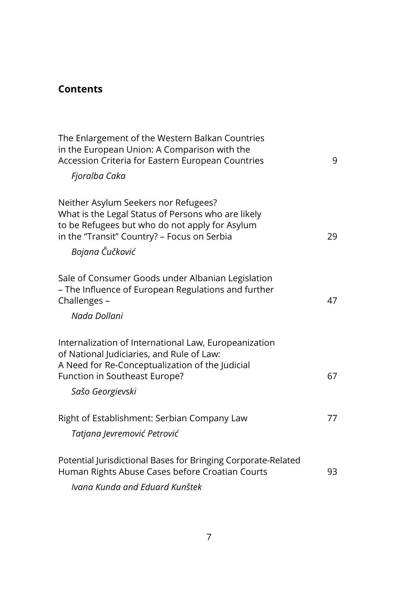## **Contents**

| The Enlargement of the Western Balkan Countries<br>in the European Union: A Comparison with the<br>Accession Criteria for Eastern European Countries                                                           | 9  |
|----------------------------------------------------------------------------------------------------------------------------------------------------------------------------------------------------------------|----|
| Fjoralba Caka                                                                                                                                                                                                  |    |
| Neither Asylum Seekers nor Refugees?<br>What is the Legal Status of Persons who are likely<br>to be Refugees but who do not apply for Asylum<br>in the "Transit" Country? - Focus on Serbia<br>Bojana Čučković | 29 |
| Sale of Consumer Goods under Albanian Legislation<br>- The Influence of European Regulations and further<br>Challenges -<br>Nada Dollani                                                                       | 47 |
| Internalization of International Law, Europeanization                                                                                                                                                          |    |
| of National Judiciaries, and Rule of Law:<br>A Need for Re-Conceptualization of the Judicial<br>Function in Southeast Europe?<br>Sašo Georgievski                                                              | 67 |
| Right of Establishment: Serbian Company Law                                                                                                                                                                    | 77 |
| Tatjana Jevremović Petrović                                                                                                                                                                                    |    |
| Potential Jurisdictional Bases for Bringing Corporate-Related<br>Human Rights Abuse Cases before Croatian Courts                                                                                               | 93 |
| Ivana Kunda and Eduard Kunštek                                                                                                                                                                                 |    |